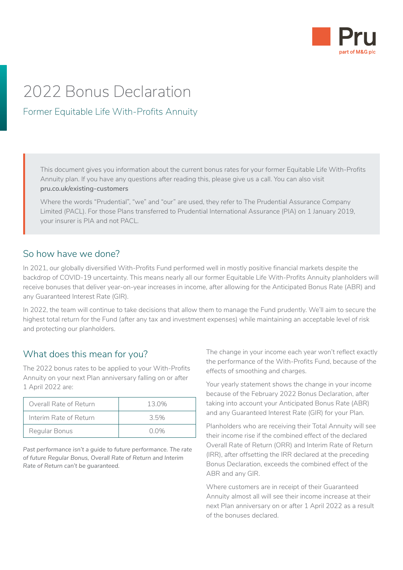

# 2022 Bonus Declaration

## Former Equitable Life With-Profits Annuity

This document gives you information about the current bonus rates for your former Equitable Life With-Profits Annuity plan. If you have any questions after reading this, please give us a call. You can also visit **[pru.co.uk/existing-customers](https://www.pru.co.uk/existing-customers/)**

Where the words "Prudential", "we" and "our" are used, they refer to The Prudential Assurance Company Limited (PACL). For those Plans transferred to Prudential International Assurance (PIA) on 1 January 2019, your insurer is PIA and not PACL.

#### So how have we done?

In 2021, our globally diversified With-Profits Fund performed well in mostly positive financial markets despite the backdrop of COVID-19 uncertainty. This means nearly all our former Equitable Life With-Profits Annuity planholders will receive bonuses that deliver year-on-year increases in income, after allowing for the Anticipated Bonus Rate (ABR) and any Guaranteed Interest Rate (GIR).

In 2022, the team will continue to take decisions that allow them to manage the Fund prudently. We'll aim to secure the highest total return for the Fund (after any tax and investment expenses) while maintaining an acceptable level of risk and protecting our planholders.

### What does this mean for you?

The 2022 bonus rates to be applied to your With-Profits Annuity on your next Plan anniversary falling on or after 1 April 2022 are:

| Overall Rate of Return | 13.0%   |
|------------------------|---------|
| Interim Rate of Return | 35%     |
| Regular Bonus          | $0.0\%$ |

*Past performance isn't a guide to future performance. The rate of future Regular Bonus, Overall Rate of Return and Interim Rate of Return can't be guaranteed.*

The change in your income each year won't reflect exactly the performance of the With-Profits Fund, because of the effects of smoothing and charges.

Your yearly statement shows the change in your income because of the February 2022 Bonus Declaration, after taking into account your Anticipated Bonus Rate (ABR) and any Guaranteed Interest Rate (GIR) for your Plan.

Planholders who are receiving their Total Annuity will see their income rise if the combined effect of the declared Overall Rate of Return (ORR) and Interim Rate of Return (IRR), after offsetting the IRR declared at the preceding Bonus Declaration, exceeds the combined effect of the ABR and any GIR.

Where customers are in receipt of their Guaranteed Annuity almost all will see their income increase at their next Plan anniversary on or after 1 April 2022 as a result of the bonuses declared.